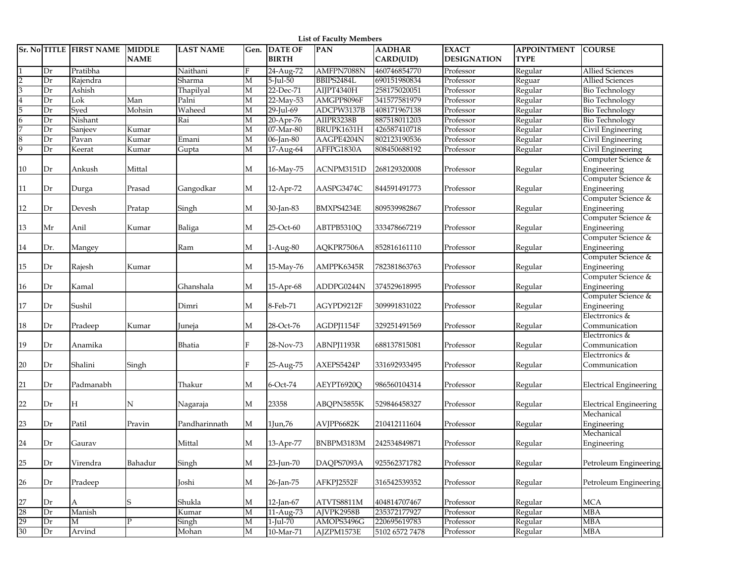|                         | <b>List of Faculty Members</b> |                           |                              |                  |      |                                |            |                            |                                    |                                   |                                   |
|-------------------------|--------------------------------|---------------------------|------------------------------|------------------|------|--------------------------------|------------|----------------------------|------------------------------------|-----------------------------------|-----------------------------------|
|                         |                                | Sr. No TITLE   FIRST NAME | <b>MIDDLE</b><br><b>NAME</b> | <b>LAST NAME</b> | Gen. | <b>DATE OF</b><br><b>BIRTH</b> | <b>PAN</b> | <b>AADHAR</b><br>CARD(UID) | <b>EXACT</b><br><b>DESIGNATION</b> | <b>APPOINTMENT</b><br><b>TYPE</b> | <b>COURSE</b>                     |
|                         | Dr                             | Pratibha                  |                              | Naithani         | F    | 24-Aug-72                      | AMFPN7088N | 460746854770               | Professor                          | Regular                           | <b>Allied Sciences</b>            |
| $\overline{2}$          | Dr                             | Rajendra                  |                              | Sharma           | М    | $5$ -Jul- $50$                 | BBIPS2484L | 690151980834               | Professor                          | Reguar                            | <b>Allied Sciences</b>            |
| $\overline{3}$          | Dr                             | Ashish                    |                              | Thapilyal        | Μ    | 22-Dec-71                      | AIJPT4340H | 258175020051               | Professor                          | Regular                           | <b>Bio Technology</b>             |
| $\overline{\mathbf{4}}$ | Dr                             | Lok                       | Man                          | Palni            | М    | 22-May-53                      | AMGPP8096F | 341577581979               | Professor                          | Regular                           | <b>Bio Technology</b>             |
| 5                       | Dr                             | Sved                      | Mohsin                       | Waheed           | М    | 29-Jul-69                      | ADCPW3137B | 408171967138               | Professor                          | Regular                           | <b>Bio Technology</b>             |
| $\overline{6}$          | Dr                             | Nishant                   |                              | Rai              | М    | 20-Apr-76                      | AIIPR3238B | 887518011203               | Professor                          | Regular                           | <b>Bio Technology</b>             |
| 7                       | Dr                             | Sanjeev                   | Kumar                        |                  | М    | 07-Mar-80                      | BRUPK1631H | 426587410718               | Professor                          | Regular                           | Civil Engineering                 |
| $\bf 8$                 | Dr                             | Pavan                     | Kumar                        | Emani            | М    | 06-Jan-80                      | AAGPE4204N | 802123190536               | Professor                          | Regular                           | Civil Engineering                 |
| 9                       | Dr                             | Keerat                    | Kumar                        | Gupta            | М    | 17-Aug-64                      | AFFPG1830A | 808450688192               | Professor                          | Regular                           | Civil Engineering                 |
| 10                      | Dr                             | Ankush                    | Mittal                       |                  | М    | 16-May-75                      | ACNPM3151D | 268129320008               | Professor                          | Regular                           | Computer Science &<br>Engineering |
|                         |                                |                           |                              |                  |      |                                |            |                            |                                    |                                   | Computer Science &                |
| 11                      | Dr                             | Durga                     | Prasad                       | Gangodkar        | М    | 12-Apr-72                      | AASPG3474C | 844591491773               | Professor                          | Regular                           | Engineering                       |
|                         |                                |                           |                              |                  |      |                                |            |                            |                                    |                                   | Computer Science &                |
| 12                      | Dr                             | Devesh                    | Pratap                       | Singh            | М    | 30-Jan-83                      | BMXPS4234E | 809539982867               | Professor                          | Regular                           | Engineering                       |
|                         |                                |                           |                              |                  |      |                                |            |                            |                                    |                                   | Computer Science &                |
| 13                      | Mr                             | Anil                      | Kumar                        | Baliga           | М    | 25-Oct-60                      | ABTPB5310Q | 333478667219               | Professor                          | Regular                           | Engineering                       |
|                         |                                |                           |                              |                  |      |                                |            |                            |                                    |                                   | Computer Science &                |
| 14                      | Dr.                            | Mangey                    |                              | Ram              | М    | 1-Aug-80                       | AQKPR7506A | 852816161110               | Professor                          | Regular                           | Engineering                       |
|                         |                                |                           |                              |                  |      |                                |            |                            |                                    |                                   | Computer Science &                |
| 15                      | Dr                             | Rajesh                    | Kumar                        |                  | М    | 15-May-76                      | AMPPK6345R | 782381863763               | Professor                          | Regular                           | Engineering                       |
|                         |                                |                           |                              |                  |      |                                |            |                            |                                    |                                   | Computer Science &                |
| 16                      | Dr                             | Kamal                     |                              | Ghanshala        | М    | 15-Apr-68                      | ADDPG0244N | 374529618995               | Professor                          | Regular                           | Engineering                       |
|                         |                                |                           |                              |                  |      |                                |            |                            |                                    |                                   | Computer Science &                |
| $17\,$                  | Dr                             | Sushil                    |                              | Dimri            | М    | 8-Feb-71                       | AGYPD9212F | 309991831022               | Professor                          | Regular                           | Engineering                       |
|                         |                                |                           |                              |                  |      |                                |            |                            |                                    |                                   | Electrronics &                    |
| 18                      | Dr                             | Pradeep                   | Kumar                        | Juneja           | М    | 28-Oct-76                      | AGDPJ1154F | 329251491569               | Professor                          | Regular                           | Communication                     |
|                         |                                |                           |                              |                  |      |                                |            |                            |                                    |                                   | Electrronics &                    |
| 19                      | Dr                             | Anamika                   |                              | Bhatia           | F    | 28-Nov-73                      | ABNPJ1193R | 688137815081               | Professor                          | Regular                           | Communication                     |
|                         |                                |                           |                              |                  |      |                                |            |                            |                                    |                                   | Electrronics &                    |
| 20                      | Dr                             | Shalini                   | Singh                        |                  | F    | 25-Aug-75                      | AXEPS5424P | 331692933495               | Professor                          | Regular                           | Communication                     |
|                         |                                |                           |                              |                  |      |                                |            |                            |                                    |                                   |                                   |
| 21                      | Dr                             | Padmanabh                 |                              | Thakur           | М    | 6-Oct-74                       | AEYPT6920Q | 986560104314               | Professor                          | Regular                           | <b>Electrical Engineering</b>     |
|                         |                                |                           |                              |                  |      |                                |            |                            |                                    |                                   |                                   |
| 22                      | Dr                             | Н                         | N                            | Nagaraja         | М    | 23358                          | ABQPN5855K | 529846458327               | Professor                          | Regular                           | <b>Electrical Engineering</b>     |
|                         |                                |                           |                              |                  |      |                                |            |                            |                                    |                                   | Mechanical                        |
| 23                      | Dr                             | Patil                     | Pravin                       | Pandharinnath    | М    | 1Jun,76                        | AVJPP6682K | 210412111604               | Professor                          | Regular                           | Engineering                       |
|                         |                                |                           |                              |                  |      |                                |            |                            |                                    |                                   | Mechanical                        |
| 24                      | Dr                             | Gaurav                    |                              | Mittal           | М    | 13-Apr-77                      | BNBPM3183M | 242534849871               | Professor                          | Regular                           | Engineering                       |
| 25                      | Dr                             | Virendra                  | Bahadur                      | Singh            | М    | 23-Jun-70                      | DAQPS7093A | 925562371782               | Professor                          | Regular                           | Petroleum Engineering             |
| 26                      | Dr                             | Pradeep                   |                              | Joshi            | М    | 26-Jan-75                      | AFKPJ2552F | 316542539352               | Professor                          | Regular                           | Petroleum Engineering             |
|                         |                                |                           |                              |                  |      |                                |            |                            |                                    |                                   |                                   |
| 27                      | Dr                             | А                         | S                            | Shukla           | М    | 12-Jan-67                      | ATVTS8811M | 404814707467               | Professor                          | Regular                           | <b>MCA</b>                        |
| 28                      | Dr                             | Manish                    |                              | Kumar            | М    | 11-Aug-73                      | AJVPK2958B | 235372177927               | Professor                          | Regular                           | <b>MBA</b>                        |
| 29                      | Dr                             | M                         | P                            | Singh            | М    | $1$ -Jul-70                    | AMOPS3496G | 220695619783               | Professor                          | Regular                           | <b>MBA</b>                        |
| 30                      | Dr                             | Arvind                    |                              | Mohan            | М    | 10-Mar-71                      | AJZPM1573E | 5102 6572 7478             | Professor                          | Regular                           | <b>MBA</b>                        |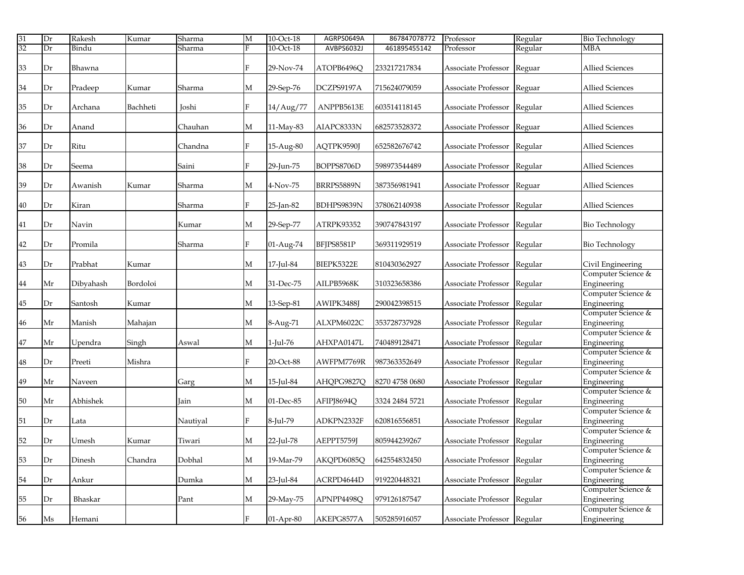| 31 | Dr | Rakesh    | Kumar    | Sharma   | M            | 10-Oct-18   | AGRPS0649A | 867847078772   | Professor                   | Regular | <b>Bio Technology</b>             |
|----|----|-----------|----------|----------|--------------|-------------|------------|----------------|-----------------------------|---------|-----------------------------------|
| 32 | Dr | Bindu     |          | Sharma   | Е            | 10-Oct-18   | AVBPS6032J | 461895455142   | Professor                   | Regular | <b>MBA</b>                        |
| 33 | Dr | Bhawna    |          |          | F            | 29-Nov-74   | ATOPB6496Q | 233217217834   | Associate Professor         | Reguar  | <b>Allied Sciences</b>            |
| 34 | Dr | Pradeep   | Kumar    | Sharma   | М            | 29-Sep-76   | DCZPS9197A | 715624079059   | Associate Professor         | Reguar  | <b>Allied Sciences</b>            |
| 35 | Dr | Archana   | Bachheti | Joshi    | F            | 14/Aug/77   | ANPPB5613E | 603514118145   | Associate Professor         | Regular | <b>Allied Sciences</b>            |
| 36 | Dr | Anand     |          | Chauhan  | М            | 11-May-83   | AIAPC8333N | 682573528372   | Associate Professor         | Reguar  | <b>Allied Sciences</b>            |
| 37 | Dr | Ritu      |          | Chandna  | F            | 15-Aug-80   | AQTPK9590J | 652582676742   | Associate Professor         | Regular | <b>Allied Sciences</b>            |
| 38 | Dr | Seema     |          | Saini    | F            | 29-Jun-75   | BOPPS8706D | 598973544489   | Associate Professor         | Regular | <b>Allied Sciences</b>            |
| 39 | Dr | Awanish   | Kumar    | Sharma   | М            | 4-Nov-75    | BRRPS5889N | 387356981941   | Associate Professor         | Reguar  | <b>Allied Sciences</b>            |
| 40 | Dr | Kiran     |          | Sharma   | F            | 25-Jan-82   | BDHPS9839N | 378062140938   | Associate Professor         | Regular | <b>Allied Sciences</b>            |
| 41 | Dr | Navin     |          | Kumar    | М            | 29-Sep-77   | ATRPK93352 | 390747843197   | Associate Professor         | Regular | <b>Bio Technology</b>             |
| 42 | Dr | Promila   |          | Sharma   | F            | 01-Aug-74   | BFIPS8581P | 369311929519   | Associate Professor         | Regular | <b>Bio Technology</b>             |
| 43 | Dr | Prabhat   | Kumar    |          | М            | 17-Jul-84   | BIEPK5322E | 810430362927   | Associate Professor         | Regular | Civil Engineering                 |
| 44 | Mr | Dibyahash | Bordoloi |          | М            | 31-Dec-75   | AILPB5968K | 310323658386   | Associate Professor         | Regular | Computer Science &<br>Engineering |
| 45 | Dr | Santosh   | Kumar    |          | M            | 13-Sep-81   | AWIPK3488J | 290042398515   | Associate Professor         | Regular | Computer Science &<br>Engineering |
| 46 | Mr | Manish    | Mahajan  |          | М            | 8-Aug-71    | ALXPM6022C | 353728737928   | Associate Professor         | Regular | Computer Science &<br>Engineering |
| 47 | Mr | Upendra   | Singh    | Aswal    | М            | 1-Jul-76    | AHXPA0147L | 740489128471   | Associate Professor         | Regular | Computer Science &<br>Engineering |
| 48 | Dr | Preeti    | Mishra   |          | F            | 20-Oct-88   | AWFPM7769R | 987363352649   | Associate Professor         | Regular | Computer Science &<br>Engineering |
| 49 | Mr | Naveen    |          | Garg     | М            | 15-Jul-84   | AHQPG9827Q | 8270 4758 0680 | Associate Professor         | Regular | Computer Science &<br>Engineering |
| 50 | Mr | Abhishek  |          | Jain     | М            | 01-Dec-85   | AFIPJ8694Q | 3324 2484 5721 | Associate Professor         | Regular | Computer Science &<br>Engineering |
| 51 | Dr | Lata      |          | Nautiyal | F            | 8-Jul-79    | ADKPN2332F | 620816556851   | Associate Professor         | Regular | Computer Science &<br>Engineering |
| 52 | Dr | Umesh     | Kumar    | Tiwari   | М            | 22-Jul-78   | AEPPT5759J | 805944239267   | Associate Professor         | Regular | Computer Science &<br>Engineering |
| 53 | Dr | Dinesh    | Chandra  | Dobhal   | М            | 19-Mar-79   | AKQPD6085Q | 642554832450   | Associate Professor         | Regular | Computer Science &<br>Engineering |
| 54 | Dr | Ankur     |          | Dumka    | М            | 23-Jul-84   | ACRPD4644D | 919220448321   | Associate Professor Regular |         | Computer Science &<br>Engineering |
| 55 | Dr | Bhaskar   |          | Pant     | М            | 29-May-75   | APNPP4498Q | 979126187547   | Associate Professor Regular |         | Computer Science &<br>Engineering |
| 56 | Ms | Hemani    |          |          | $\mathbf{F}$ | $01-Apr-80$ | AKEPG8577A | 505285916057   | Associate Professor Regular |         | Computer Science &<br>Engineering |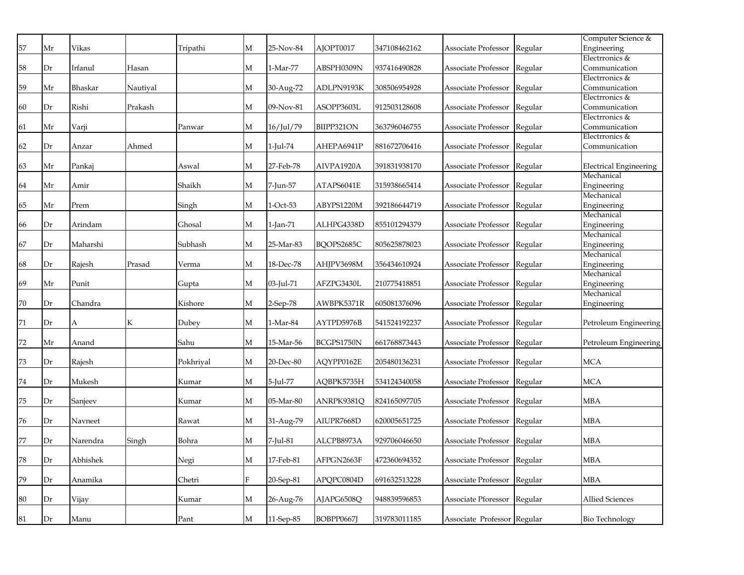|    |    |              |          |           |              |             |            |              |                             |         | Computer Science &            |
|----|----|--------------|----------|-----------|--------------|-------------|------------|--------------|-----------------------------|---------|-------------------------------|
| 57 | Mr | <b>Vikas</b> |          | Tripathi  | М            | 25-Nov-84   | AJOPT0017  | 347108462162 | Associate Professor         | Regular | Engineering                   |
|    |    |              |          |           |              |             |            |              |                             |         | Electrronics &                |
| 58 | Dr | Irfanul      | Hasan    |           | М            | 1-Mar-77    | ABSPH0309N | 937416490828 | Associate Professor         | Regular | Communication                 |
|    |    |              |          |           |              |             |            |              |                             |         | Electrronics &                |
| 59 | Mr | Bhaskar      | Nautiyal |           | М            | 30-Aug-72   | ADLPN9193K | 308506954928 | Associate Professor         | Regular | Communication                 |
|    |    |              |          |           |              |             |            |              |                             |         | Electrronics &                |
| 60 | Dr | Rishi        | Prakash  |           | М            | 09-Nov-81   | ASOPP3603L | 912503128608 | Associate Professor         | Regular | Communication                 |
|    |    |              |          |           |              |             |            |              |                             |         | Electrronics &                |
| 61 | Mr | Varji        |          | Panwar    | М            | 16/Jul/79   | BIIPP321ON | 363796046755 | Associate Professor         | Regular | Communication                 |
|    |    |              |          |           |              |             |            |              |                             |         | Electrronics &                |
| 62 | Dr | Anzar        | Ahmed    |           | М            | 1-Jul-74    | AHEPA6941P | 881672706416 | Associate Professor         | Regular | Communication                 |
|    |    |              |          |           |              |             |            |              |                             |         |                               |
| 63 | Mr | Pankaj       |          | Aswal     | М            | 27-Feb-78   | AIVPA1920A | 391831938170 | Associate Professor         | Regular | <b>Electrical Engineering</b> |
|    |    |              |          |           |              |             |            |              |                             |         | Mechanical                    |
| 64 | Mr | Amir         |          | Shaikh    | М            | 7-Jun-57    | ATAPS6041E | 315938665414 | Associate Professor         | Regular | Engineering                   |
|    |    |              |          |           |              |             |            |              |                             |         | Mechanical                    |
| 65 | Mr | Prem         |          | Singh     | М            | 1-Oct-53    | ABYPS1220M | 392186644719 | Associate Professor         | Regular | Engineering                   |
|    |    |              |          |           | М            |             |            |              |                             |         | Mechanical                    |
| 66 | Dr | Arindam      |          | Ghosal    |              | 1-Jan-71    | ALHPG4338D | 855101294379 | Associate Professor         | Regular | Engineering<br>Mechanical     |
| 67 | Dr | Maharshi     |          | Subhash   | М            | 25-Mar-83   | BQOPS2685C | 805625878023 | Associate Professor         | Regular |                               |
|    |    |              |          |           |              |             |            |              |                             |         | Engineering<br>Mechanical     |
| 68 | Dr | Rajesh       | Prasad   | Verma     | М            | 18-Dec-78   | AHJPV3698M | 356434610924 | Associate Professor         | Regular |                               |
|    |    |              |          |           |              |             |            |              |                             |         | Engineering<br>Mechanical     |
| 69 | Mr | Punit        |          | Gupta     | М            | 03-Jul-71   | AFZPG3430L | 210775418851 | Associate Professor         | Regular | Engineering                   |
|    |    |              |          |           |              |             |            |              |                             |         | Mechanical                    |
| 70 | Dr | Chandra      |          | Kishore   | М            | $2$ -Sep-78 | AWBPK5371R | 605081376096 | Associate Professor         | Regular | Engineering                   |
|    |    |              |          |           |              |             |            |              |                             |         |                               |
| 71 | Dr | А            | K        | Dubey     | М            | 1-Mar-84    | AYTPD5976B | 541524192237 | Associate Professor         | Regular | Petroleum Engineering         |
|    |    |              |          |           |              |             |            |              |                             |         |                               |
| 72 | Mr | Anand        |          | Sahu      | М            | 15-Mar-56   | BCGPS1750N | 661768873443 | Associate Professor         | Regular | Petroleum Engineering         |
|    |    |              |          |           |              |             |            |              |                             |         |                               |
| 73 | Dr | Rajesh       |          | Pokhrival | М            | 20-Dec-80   | AQYPP0162E | 205480136231 | Associate Professor         | Regular | <b>MCA</b>                    |
|    |    |              |          |           |              |             |            |              |                             |         |                               |
| 74 | Dr | Mukesh       |          | Kumar     | М            | 5-Jul-77    | AQBPK5735H | 534124340058 | Associate Professor         | Regular | <b>MCA</b>                    |
|    |    |              |          |           |              |             |            |              |                             |         |                               |
| 75 | Dr | Sanjeev      |          | Kumar     | М            | 05-Mar-80   | ANRPK9381Q | 824165097705 | Associate Professor         | Regular | <b>MBA</b>                    |
|    |    |              |          |           |              |             |            |              |                             |         |                               |
| 76 | Dr | Navneet      |          | Rawat     | М            | 31-Aug-79   | AIUPR7668D | 620005651725 | Associate Professor         | Regular | <b>MBA</b>                    |
|    |    |              |          |           |              |             |            |              |                             |         |                               |
| 77 | Dr | Narendra     | Singh    | Bohra     | М            | 7-Jul-81    | ALCPB8973A | 929706046650 | Associate Professor         | Regular | <b>MBA</b>                    |
|    |    |              |          |           |              |             |            |              |                             |         |                               |
| 78 | Dr | Abhishek     |          | Negi      | М            | 17-Feb-81   | AFPGN2663F | 472360694352 | Associate Professor         | Regular | <b>MBA</b>                    |
|    |    |              |          |           |              |             |            |              |                             |         |                               |
| 79 | Dr | Anamika      |          | Chetri    | $\mathbf{F}$ | 20-Sep-81   | APQPC0804D | 691632513228 | Associate Professor         | Regular | <b>MBA</b>                    |
|    |    |              |          |           |              |             |            |              |                             |         |                               |
| 80 | Dr | Vijay        |          | Kumar     | М            | 26-Aug-76   | AJAPG6508Q | 948839596853 | Associate Pforessor         | Regular | <b>Allied Sciences</b>        |
| 81 | Dr | Manu         |          | Pant      | М            |             | BOBPP0667J | 319783011185 | Associate Professor Regular |         | <b>Bio Technology</b>         |
|    |    |              |          |           |              | 11-Sep-85   |            |              |                             |         |                               |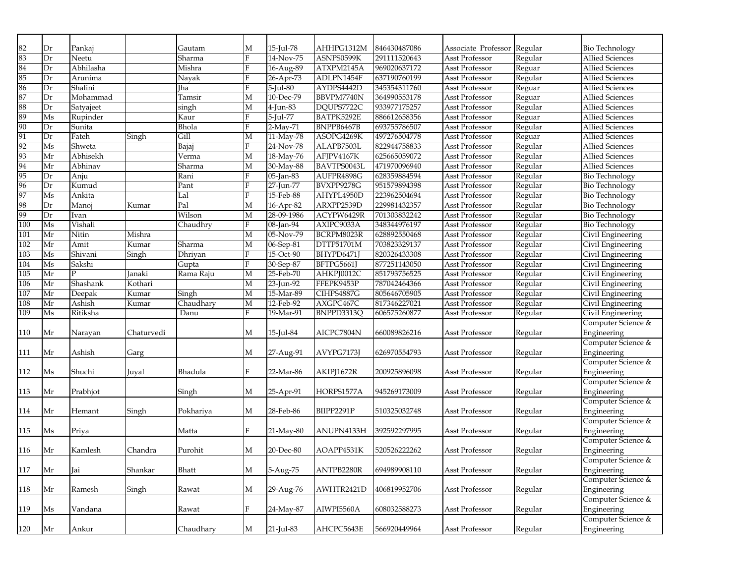| 82  | Dr        | Pankaj    |            | Gautam              | М            | 15-Jul-78    | AHHPG1312M  | 846430487086 | Associate Professor Regular |         | <b>Bio Technology</b>             |
|-----|-----------|-----------|------------|---------------------|--------------|--------------|-------------|--------------|-----------------------------|---------|-----------------------------------|
| 83  | Dr        | Neetu     |            | Sharma              | F            | 14-Nov-75    | ASNPS0599K  | 291111520643 | Asst Professor              | Regular | <b>Allied Sciences</b>            |
| 84  | Dr        | Abhilasha |            | Mishra              | $\mathbf{F}$ | $16-Aug-89$  | ATXPM2145A  | 969020637172 | Asst Professor              | Reguar  | <b>Allied Sciences</b>            |
| 85  | Dr        | Arunima   |            | Nayak               | $\mathbf{F}$ | 26-Apr-73    | ADLPN1454F  | 637190760199 | Asst Professor              | Regular | <b>Allied Sciences</b>            |
| 86  | Dr        | Shalini   |            | <b>Tha</b>          | F            | $5$ -Jul-80  | AYDPS4442D  | 345354311760 | Asst Professor              | Reguar  | <b>Allied Sciences</b>            |
| 87  | Dr        | Mohammad  |            | Tamsir              | M            | 10-Dec-79    | BBVPM7740N  | 364990553178 | Asst Professor              | Reguar  | <b>Allied Sciences</b>            |
| 88  | Dr        | Satyajeet |            | singh               | M            | 4-Jun-83     | DQUPS7722C  | 933977175257 | Asst Professor              | Regular | <b>Allied Sciences</b>            |
| 89  | $\rm{Ms}$ | Rupinder  |            | Kaur                | F            | 5-Jul-77     | BATPK5292E  | 886612658356 | Asst Professor              | Reguar  | <b>Allied Sciences</b>            |
| 90  | Dr        | Sunita    |            | Bhola               | F            | 2-May-71     | BNPPB6467B  | 693755786507 | Asst Professor              | Regular | <b>Allied Sciences</b>            |
| 91  | Dr        | Fateh     | Singh      | Gill                | M            | 11-May-78    | ASOPG4269K  | 497276504778 | Asst Professor              | Reguar  | <b>Allied Sciences</b>            |
| 92  | Ms        | Shweta    |            | <b>Bajaj</b>        | F            | $24-Nov-78$  | ALAPB7503L  | 822944758833 | Asst Professor              | Regular | <b>Allied Sciences</b>            |
| 93  | Mr        | Abhisekh  |            | $\overline{V}$ erma | M            | $18-May-76$  | AFJPV4167K  | 625665059072 | Asst Professor              | Regular | <b>Allied Sciences</b>            |
| 94  | Mr        | Abhinav   |            | Sharma              | М            | 30-May-88    | BAVTPS0043L | 471970096940 | Asst Professor              | Regular | <b>Allied Sciences</b>            |
| 95  | Dr        | Anju      |            | Rani                | $\mathbf{F}$ | $05$ -Jan-83 | AUFPR4898G  | 628359884594 | Asst Professor              | Regular | <b>Bio Technology</b>             |
| 96  | Dr        | Kumud     |            | Pant                | $\mathbf{F}$ | 27-Jun-77    | BVXPP9278G  | 951579894398 | Asst Professor              | Regular | <b>Bio Technology</b>             |
| 97  | $\rm{Ms}$ | Ankita    |            | Lal                 | $\mathbf{F}$ | 15-Feb-88    | AHYPL4950D  | 223962504694 | Asst Professor              | Regular | <b>Bio Technology</b>             |
| 98  | Dr        | Manoj     | Kumar      | Pal                 | М            | $16-Apr-82$  | ARXPP2539D  | 229981432357 | Asst Professor              | Regular | <b>Bio Technology</b>             |
| 99  | Dr        | Ivan      |            | Wilson              | М            | 28-09-1986   | ACYPW6429R  | 701303832242 | Asst Professor              | Regular | <b>Bio Technology</b>             |
| 100 | Ms        | Vishali   |            | Chaudhry            | F            | $08$ -Jan-94 | AXIPC9033A  | 348344976197 | Asst Professor              | Regular | <b>Bio Technology</b>             |
| 101 | Mr        | Nitin     | Mishra     |                     | М            | 05-Nov-79    | BCRPM8023R  | 628892550468 | Asst Professor              | Regular | Civil Engineering                 |
| 102 | Mr        | Amit      | Kumar      | Sharma              | M            | 06-Sep-81    | DTTP51701M  | 703823329137 | Asst Professor              | Regular | Civil Engineering                 |
| 103 | Ms        | Shivani   | Singh      | Dhriyan             | F            | 15-Oct-90    | BHYPD6471J  | 820326433308 | Asst Professor              | Regular | Civil Engineering                 |
| 104 | Ms        | Sakshi    |            |                     | F            | 30-Sep-87    | BFTPG5661J  | 877251143050 | <b>Asst Professor</b>       | Regular | Civil Engineering                 |
| 105 | Mr        | D         | Janaki     | Gupta<br>Rama Raju  | М            | 25-Feb-70    | AHKPJ0012C  | 851793756525 | Asst Professor              | Regular | Civil Engineering                 |
| 106 | Mr        | Shashank  | Kothari    |                     | М            | 23-Jun-92    | FFEPK9453P  | 787042464366 | Asst Professor              | Regular | Civil Engineering                 |
| 107 | Mr        | Deepak    | Kumar      | Singh               | $\mathbf{M}$ | 15-Mar-89    | CIHPS4887G  | 805646705905 | Asst Professor              | Regular | Civil Engineering                 |
| 108 | Mr        | Ashish    | Kumar      | Chaudhary           | М            | 12-Feb-92    | AXGPC467C   | 817346227021 | Asst Professor              | Regular | Civil Engineering                 |
| 109 | Ms        | Ritiksha  |            | Danu                | F            | 19-Mar-91    | BNPPD3313Q  | 606575260877 | Asst Professor              | Regular | Civil Engineering                 |
|     |           |           |            |                     |              |              |             |              |                             |         | Computer Science &                |
| 110 | Mr        | Narayan   | Chaturvedi |                     | М            | 15-Jul-84    | AICPC7804N  | 660089826216 | Asst Professor              | Regular | Engineering                       |
|     |           |           |            |                     |              |              |             |              |                             |         | Computer Science &                |
| 111 | Mr        | Ashish    | Garg       |                     | М            | 27-Aug-91    | AVYPG7173J  | 626970554793 | Asst Professor              | Regular | Engineering                       |
|     |           |           |            |                     |              |              |             |              |                             |         | Computer Science &                |
| 112 |           | Shuchi    |            | Bhadula             | F            | 22-Mar-86    |             | 200925896098 | Asst Professor              |         |                                   |
|     | Ms        |           | Juval      |                     |              |              | AKIPJ1672R  |              |                             | Regular | Engineering<br>Computer Science & |
|     | Mr        |           |            |                     | М            | 25-Apr-91    | HORPS1577A  | 945269173009 | Asst Professor              |         | Engineering                       |
| 113 |           | Prabhjot  |            | Singh               |              |              |             |              |                             | Regular | Computer Science &                |
| 114 | Mr        | Hemant    |            | Pokhariya           | М            | 28-Feb-86    | BIIPP2291P  | 510325032748 | Asst Professor              |         | Engineering                       |
|     |           |           | Singh      |                     |              |              |             |              |                             | Regular | Computer Science &                |
|     |           | Priya     |            |                     | F            | 21-May-80    | ANUPN4133H  | 392592297995 | Asst Professor              |         | Engineering                       |
| 115 | Ms        |           |            | Matta               |              |              |             |              |                             | Regular |                                   |
|     |           |           |            |                     |              |              | AOAPP4531K  | 520526222262 |                             |         | Computer Science &                |
| 116 | Mr        | Kamlesh   | Chandra    | Purohit             | М            | 20-Dec-80    |             |              | Asst Professor              | Regular | Engineering                       |
|     |           |           |            |                     |              |              |             |              |                             |         | Computer Science &                |
| 117 | Mr        | Jai       | Shankar    | Bhatt               | $\mathbf M$  | 5-Aug-75     | ANTPB2280R  | 694989908110 | Asst Professor              | Regular | Engineering                       |
|     |           |           |            |                     |              |              |             |              |                             |         | Computer Science &                |
| 118 | Mr        | Ramesh    | Singh      | Rawat               | M            | 29-Aug-76    | AWHTR2421D  | 406819952706 | Asst Professor              | Regular | Engineering                       |
|     |           |           |            |                     |              |              |             |              |                             |         | Computer Science &                |
| 119 | Ms        | Vandana   |            | Rawat               | F            | 24-May-87    | AIWPI5560A  | 608032588273 | Asst Professor              | Regular | Engineering                       |
|     |           |           |            |                     |              |              |             |              |                             |         | Computer Science &                |
| 120 | Mr        | Ankur     |            | Chaudhary           | $\mathbf M$  | 21-Jul-83    | AHCPC5643E  | 566920449964 | Asst Professor              | Regular | Engineering                       |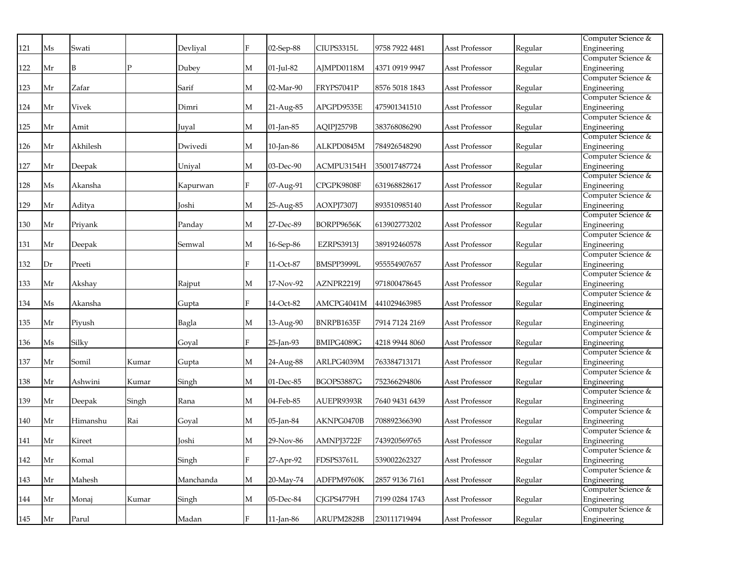|     |    |          |              |           |              |           |            |                |                |         | Computer Science &                |
|-----|----|----------|--------------|-----------|--------------|-----------|------------|----------------|----------------|---------|-----------------------------------|
| 121 | Ms | Swati    |              | Devlival  | F            | 02-Sep-88 | CIUPS3315L | 9758 7922 4481 | Asst Professor | Regular | Engineering                       |
|     |    |          |              |           |              |           |            |                |                |         | Computer Science &                |
| 122 | Mr | B        | $\mathbf{P}$ | Dubev     | М            | 01-Jul-82 | AJMPD0118M | 4371 0919 9947 | Asst Professor | Regular | Engineering                       |
|     |    |          |              |           |              |           |            |                |                |         | Computer Science &                |
| 123 | Mr | Zafar    |              | Sarif     | M            | 02-Mar-90 | FRYPS7041P | 8576 5018 1843 | Asst Professor | Regular | Engineering                       |
|     |    |          |              |           |              |           |            |                |                |         | Computer Science &                |
| 124 | Mr | Vivek    |              | Dimri     | M            | 21-Aug-85 | APGPD9535E | 475901341510   | Asst Professor | Regular | Engineering                       |
|     |    |          |              |           |              |           |            |                |                |         | Computer Science &                |
| 125 | Mr | Amit     |              | Juval     | M            | 01-Jan-85 | AQIPJ2579B | 383768086290   | Asst Professor | Regular | Engineering                       |
|     |    |          |              |           |              |           |            |                |                |         | Computer Science &                |
| 126 | Mr | Akhilesh |              | Dwivedi   | M            | 10-Jan-86 | ALKPD0845M | 784926548290   | Asst Professor | Regular | Engineering                       |
|     |    |          |              |           |              |           |            |                |                |         | Computer Science &                |
| 127 | Mr | Deepak   |              | Unival    | M            | 03-Dec-90 | ACMPU3154H | 350017487724   | Asst Professor | Regular | Engineering                       |
|     |    |          |              |           |              |           |            |                |                |         | Computer Science &                |
| 128 | Ms | Akansha  |              | Kapurwan  | F            | 07-Aug-91 | CPGPK9808F | 631968828617   | Asst Professor | Regular | Engineering                       |
|     |    |          |              |           |              |           |            |                |                |         | Computer Science &                |
| 129 | Mr | Aditya   |              | Joshi     | M            | 25-Aug-85 | AOXPJ7307J | 893510985140   | Asst Professor | Regular | Engineering                       |
|     |    |          |              |           |              |           |            |                |                |         | Computer Science &                |
| 130 | Mr | Priyank  |              | Panday    | M            | 27-Dec-89 | BORPP9656K | 613902773202   | Asst Professor | Regular | Engineering                       |
|     |    |          |              |           |              |           |            |                |                |         | Computer Science &                |
| 131 | Mr | Deepak   |              | Semwal    | M            | 16-Sep-86 | EZRPS3913J | 389192460578   | Asst Professor | Regular | Engineering<br>Computer Science & |
|     |    |          |              |           | F            |           |            |                |                |         |                                   |
| 132 | Dr | Preeti   |              |           |              | 11-Oct-87 | BMSPP3999L | 955554907657   | Asst Professor | Regular | Engineering<br>Computer Science & |
| 133 | Mr | Akshay   |              | Rajput    | M            | 17-Nov-92 | AZNPR2219J | 971800478645   | Asst Professor | Regular | Engineering                       |
|     |    |          |              |           |              |           |            |                |                |         | Computer Science &                |
| 134 | Ms | Akansha  |              | Gupta     | $\mathbf{F}$ | 14-Oct-82 | AMCPG4041M | 441029463985   | Asst Professor | Regular | Engineering                       |
|     |    |          |              |           |              |           |            |                |                |         | Computer Science &                |
| 135 | Mr | Pivush   |              | Bagla     | M            | 13-Aug-90 | BNRPB1635F | 7914 7124 2169 | Asst Professor | Regular | Engineering                       |
|     |    |          |              |           |              |           |            |                |                |         | Computer Science &                |
| 136 | Ms | Silky    |              | Goyal     | F            | 25-Jan-93 | BMIPG4089G | 4218 9944 8060 | Asst Professor | Regular | Engineering                       |
|     |    |          |              |           |              |           |            |                |                |         | Computer Science &                |
| 137 | Mr | Somil    | Kumar        | Gupta     | M            | 24-Aug-88 | ARLPG4039M | 763384713171   | Asst Professor | Regular | Engineering                       |
|     |    |          |              |           |              |           |            |                |                |         | Computer Science &                |
| 138 | Mr | Ashwini  | Kumar        | Singh     | M            | 01-Dec-85 | BGOPS3887G | 752366294806   | Asst Professor | Regular | Engineering                       |
|     |    |          |              |           |              |           |            |                |                |         | Computer Science &                |
| 139 | Mr | Deepak   | Singh        | Rana      | M            | 04-Feb-85 | AUEPR9393R | 7640 9431 6439 | Asst Professor | Regular | Engineering                       |
|     |    |          |              |           |              |           |            |                |                |         | Computer Science &                |
| 140 | Mr | Himanshu | Rai          | Goval     | M            | 05-Jan-84 | AKNPG0470B | 708892366390   | Asst Professor | Regular | Engineering                       |
|     |    |          |              |           |              |           |            |                |                |         | Computer Science &                |
| 141 | Mr | Kireet   |              | Joshi     | M            | 29-Nov-86 | AMNPJ3722F | 743920569765   | Asst Professor | Regular | Engineering                       |
|     |    |          |              |           |              |           |            |                |                |         | Computer Science &                |
| 142 | Mr | Komal    |              | Singh     | F            | 27-Apr-92 | FDSPS3761L | 539002262327   | Asst Professor | Regular | Engineering                       |
|     |    |          |              |           |              |           |            |                |                |         | Computer Science &                |
| 143 | Mr | Mahesh   |              | Manchanda | M            | 20-May-74 | ADFPM9760K | 2857 9136 7161 | Asst Professor | Regular | Engineering                       |
|     |    |          |              |           |              |           |            |                |                |         | Computer Science &                |
| 144 | Mr | Monaj    | Kumar        | Singh     | M            | 05-Dec-84 | CJGPS4779H | 7199 0284 1743 | Asst Professor | Regular | Engineering                       |
|     |    |          |              |           |              |           |            |                |                |         | Computer Science &                |
| 145 | Mr | Parul    |              | Madan     | F            | 11-Jan-86 | ARUPM2828B | 230111719494   | Asst Professor | Regular | Engineering                       |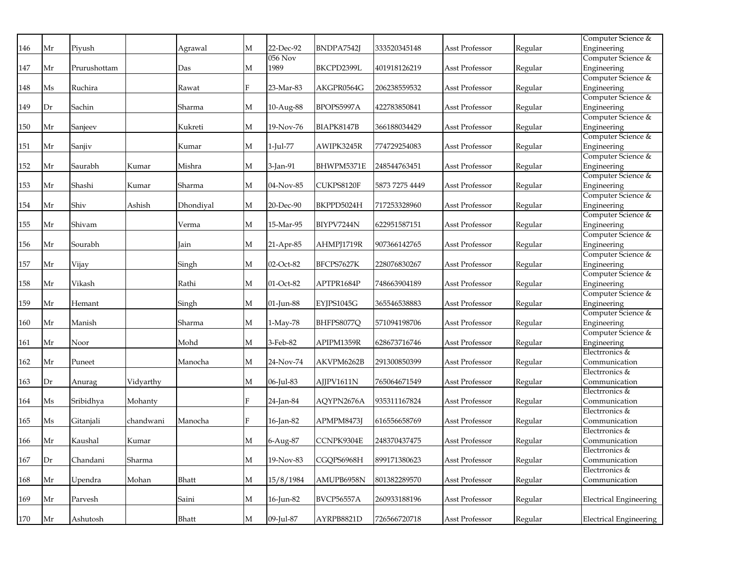|     |    |              |           |           |                |              |                   |                |                |         | Computer Science &                |
|-----|----|--------------|-----------|-----------|----------------|--------------|-------------------|----------------|----------------|---------|-----------------------------------|
| 146 | Mr | Piyush       |           | Agrawal   | М              | 22-Dec-92    | BNDPA7542J        | 333520345148   | Asst Professor | Regular | Engineering                       |
|     |    |              |           |           |                | $056$ Nov    |                   |                |                |         | Computer Science &                |
| 147 | Mr | Prurushottam |           | Das       | M              | 1989         | BKCPD2399L        | 401918126219   | Asst Professor | Regular | Engineering                       |
|     |    |              |           |           |                |              |                   |                |                |         | Computer Science &                |
| 148 | Ms | Ruchira      |           | Rawat     | F              | 23-Mar-83    | AKGPR0564G        | 206238559532   | Asst Professor | Regular | Engineering                       |
|     |    |              |           |           |                |              |                   |                |                |         | Computer Science &                |
| 149 | Dr | Sachin       |           | Sharma    | M              | 10-Aug-88    | BPOPS5997A        | 422783850841   | Asst Professor | Regular | Engineering                       |
|     |    |              |           |           |                |              |                   |                |                |         | Computer Science &                |
| 150 | Mr | Sanjeev      |           | Kukreti   | M              | 19-Nov-76    | BIAPK8147B        | 366188034429   | Asst Professor | Regular | Engineering                       |
|     |    |              |           |           |                |              |                   |                |                |         | Computer Science &                |
| 151 | Mr | Sanjiv       |           | Kumar     | M              | 1-Jul-77     | AWIPK3245R        | 774729254083   | Asst Professor | Regular | Engineering                       |
|     |    |              |           |           |                |              |                   |                |                |         | Computer Science &                |
| 152 | Mr | Saurabh      | Kumar     | Mishra    | M              | 3-Jan-91     | BHWPM5371E        | 248544763451   | Asst Professor | Regular | Engineering                       |
|     |    |              |           |           |                |              |                   |                |                |         | Computer Science &                |
| 153 | Mr | Shashi       | Kumar     | Sharma    | M              | 04-Nov-85    | CUKPS8120F        | 5873 7275 4449 | Asst Professor | Regular | Engineering                       |
|     |    |              |           |           |                |              |                   |                |                |         | Computer Science &                |
| 154 | Mr | Shiv         | Ashish    | Dhondiyal | M              | 20-Dec-90    | BKPPD5024H        | 717253328960   | Asst Professor | Regular | Engineering                       |
|     |    |              |           |           |                |              |                   |                |                |         | Computer Science &                |
| 155 | Mr | Shivam       |           | Verma     | М              | 15-Mar-95    | BIYPV7244N        | 622951587151   | Asst Professor | Regular | Engineering                       |
| 156 | Mr | Sourabh      |           | Jain      | М              | 21-Apr-85    | AHMPJ1719R        | 907366142765   | Asst Professor | Regular | Computer Science &<br>Engineering |
|     |    |              |           |           |                |              |                   |                |                |         | Computer Science &                |
| 157 | Mr | Vijay        |           | Singh     | М              | 02-Oct-82    | BFCPS7627K        | 228076830267   | Asst Professor | Regular | Engineering                       |
|     |    |              |           |           |                |              |                   |                |                |         | Computer Science &                |
| 158 | Mr | Vikash       |           | Rathi     | М              | 01-Oct-82    | APTPR1684P        | 748663904189   | Asst Professor | Regular | Engineering                       |
|     |    |              |           |           |                |              |                   |                |                |         | Computer Science &                |
| 159 | Mr | Hemant       |           | Singh     | М              | 01-Jun-88    | EYJPS1045G        | 365546538883   | Asst Professor | Regular | Engineering                       |
|     |    |              |           |           |                |              |                   |                |                |         | Computer Science &                |
| 160 | Mr | Manish       |           | Sharma    | М              | 1-May-78     | BHFPS8077Q        | 571094198706   | Asst Professor | Regular | Engineering                       |
|     |    |              |           |           |                |              |                   |                |                |         | Computer Science &                |
| 161 | Mr | Noor         |           | Mohd      | М              | 3-Feb-82     | APIPM1359R        | 628673716746   | Asst Professor | Regular | Engineering                       |
|     |    |              |           |           |                |              |                   |                |                |         | Electrronics &                    |
| 162 | Mr | Puneet       |           | Manocha   | М              | 24-Nov-74    | AKVPM6262B        | 291300850399   | Asst Professor | Regular | Communication                     |
|     |    |              |           |           |                |              |                   |                |                |         | Electrronics &                    |
| 163 | Dr | Anurag       | Vidyarthy |           | M              | 06-Jul-83    | AJJPV1611N        | 765064671549   | Asst Professor | Regular | Communication                     |
|     |    |              |           |           |                |              |                   |                |                |         | Electrronics &                    |
| 164 | Ms | Sribidhva    | Mohantv   |           | $\overline{F}$ | 24-Jan-84    | AQYPN2676A        | 935311167824   | Asst Professor | Regular | Communication                     |
|     |    |              |           |           |                |              |                   |                |                |         | Electrronics &                    |
| 165 | Ms | Gitanjali    | chandwani | Manocha   | F              | 16-Jan-82    | APMPM8473I        | 616556658769   | Asst Professor | Regular | Communication                     |
|     |    |              |           |           |                |              |                   |                |                |         | Electrronics &                    |
| 166 | Mr | Kaushal      | Kumar     |           | М              | 6-Aug-87     | CCNPK9304E        | 248370437475   | Asst Professor | Regular | Communication                     |
|     |    |              |           |           |                |              |                   |                |                |         | Electrronics &                    |
| 167 | Dr | Chandani     | Sharma    |           | M              | 19-Nov-83    | CGQPS6968H        | 899171380623   | Asst Professor | Regular | Communication                     |
|     |    |              |           |           |                |              |                   |                |                |         | Electrronics &                    |
| 168 | Mr | Upendra      | Mohan     | Bhatt     | M              | 15/8/1984    | AMUPB6958N        | 801382289570   | Asst Professor | Regular | Communication                     |
| 169 | Mr |              |           | Saini     | M              |              | <b>BVCP56557A</b> | 260933188196   |                |         |                                   |
|     |    | Parvesh      |           |           |                | $16$ -Jun-82 |                   |                | Asst Professor | Regular | Electrical Engineering            |
| 170 | Mr | Ashutosh     |           | Bhatt     | M              | 09-Jul-87    | AYRPB8821D        | 726566720718   | Asst Professor | Regular | Electrical Engineering            |
|     |    |              |           |           |                |              |                   |                |                |         |                                   |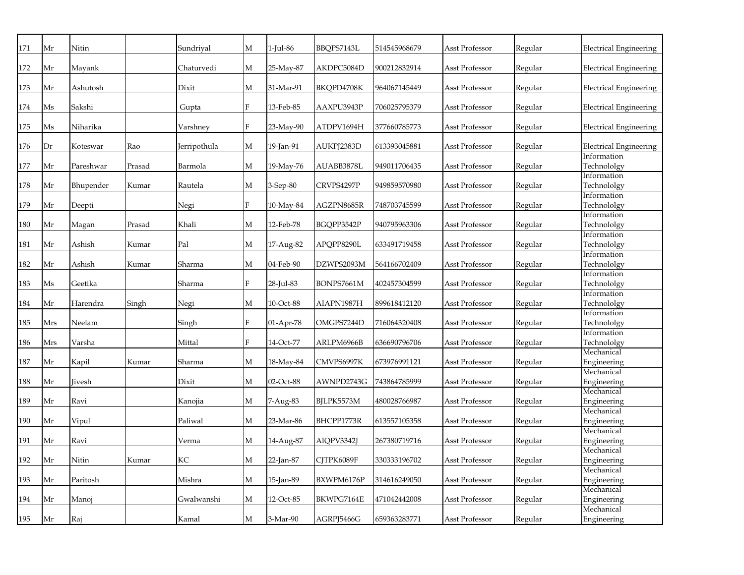| 171 | Mr  | Nitin     |        | Sundriyal    | M            | 1-Jul-86        | BBQPS7143L | 514545968679 | Asst Professor        | Regular | <b>Electrical Engineering</b> |
|-----|-----|-----------|--------|--------------|--------------|-----------------|------------|--------------|-----------------------|---------|-------------------------------|
| 172 | Mr  | Mayank    |        | Chaturvedi   | M            | 25-May-87       | AKDPC5084D | 900212832914 | Asst Professor        | Regular | <b>Electrical Engineering</b> |
| 173 | Mr  | Ashutosh  |        | Dixit        | M            | 31-Mar-91       | BKQPD4708K | 964067145449 | Asst Professor        | Regular | <b>Electrical Engineering</b> |
| 174 | Ms  | Sakshi    |        | Gupta        | F            | 13-Feb-85       | AAXPU3943P | 706025795379 | Asst Professor        | Regular | <b>Electrical Engineering</b> |
| 175 | Ms  | Niharika  |        | Varshnev     | F            | 23-May-90       | ATDPV1694H | 377660785773 | <b>Asst Professor</b> | Regular | <b>Electrical Engineering</b> |
| 176 | Dr  | Koteswar  | Rao    | Jerripothula | M            | 19-Jan-91       | AUKPJ2383D | 613393045881 | <b>Asst Professor</b> | Regular | <b>Electrical Engineering</b> |
| 177 | Mr  | Pareshwar | Prasad | Barmola      | M            | 19-May-76       | AUABB3878L | 949011706435 | Asst Professor        | Regular | Information<br>Technololgy    |
| 178 | Mr  | Bhupender | Kumar  | Rautela      | M            | 3-Sep-80        | CRVPS4297P | 949859570980 | <b>Asst Professor</b> | Regular | Information<br>Technololgy    |
| 179 | Mr  | Deepti    |        | Negi         | F            | $10$ -May- $84$ | AGZPN8685R | 748703745599 | Asst Professor        | Regular | Information<br>Technololgy    |
| 180 | Mr  | Magan     | Prasad | Khali        | М            | 12-Feb-78       | BGQPP3542P | 940795963306 | Asst Professor        | Regular | Information<br>Technololgy    |
| 181 | Mr  | Ashish    | Kumar  | Pal          | М            | 17-Aug-82       | APQPP8290L | 633491719458 | Asst Professor        | Regular | Information<br>Technololgy    |
| 182 | Mr  | Ashish    | Kumar  | Sharma       | M            | 04-Feb-90       | DZWPS2093M | 564166702409 | Asst Professor        | Regular | Information<br>Technololgy    |
| 183 | Ms  | Geetika   |        | Sharma       | $\rm F$      | 28-Jul-83       | BONPS7661M | 402457304599 | Asst Professor        | Regular | Information<br>Technololgy    |
| 184 | Mr  | Harendra  | Singh  | Negi         | М            | 10-Oct-88       | AIAPN1987H | 899618412120 | Asst Professor        | Regular | Information<br>Technololgy    |
| 185 | Mrs | Neelam    |        | Singh        | $\rm F$      | 01-Apr-78       | OMGPS7244D | 716064320408 | Asst Professor        | Regular | Information<br>Technololgy    |
| 186 | Mrs | Varsha    |        | Mittal       | $\mathbf{F}$ | 14-Oct-77       | ARLPM6966B | 636690796706 | Asst Professor        | Regular | Information<br>Technololgy    |
| 187 | Mr  | Kapil     | Kumar  | Sharma       | М            | 18-May-84       | CMVPS6997K | 673976991121 | <b>Asst Professor</b> | Regular | Mechanical<br>Engineering     |
| 188 | Mr  | Jivesh    |        | Dixit        | М            | 02-Oct-88       | AWNPD2743G | 743864785999 | Asst Professor        | Regular | Mechanical<br>Engineering     |
| 189 | Mr  | Ravi      |        | Kanojia      | М            | 7-Aug-83        | BJLPK5573M | 480028766987 | Asst Professor        | Regular | Mechanical<br>Engineering     |
| 190 | Mr  | Vipul     |        | Paliwal      | M            | 23-Mar-86       | BHCPP1773R | 613557105358 | <b>Asst Professor</b> | Regular | Mechanical<br>Engineering     |
| 191 | Mr  | Ravi      |        | Verma        | М            | 14-Aug-87       | AIQPV3342J | 267380719716 | Asst Professor        | Regular | Mechanical<br>Engineering     |
| 192 | Mr  | Nitin     | Kumar  | KC           | M            | 22-Jan-87       | CITPK6089F | 330333196702 | <b>Asst Professor</b> | Regular | Mechanical<br>Engineering     |
| 193 | Mr  | Paritosh  |        | Mishra       | M            | 15-Jan-89       | BXWPM6176P | 314616249050 | <b>Asst Professor</b> | Regular | Mechanical<br>Engineering     |
| 194 | Mr  | Manoj     |        | Gwalwanshi   | M            | 12-Oct-85       | BKWPG7164E | 471042442008 | Asst Professor        | Regular | Mechanical<br>Engineering     |
| 195 | Mr  | Raj       |        | Kamal        | M            | 3-Mar-90        | AGRPJ5466G | 659363283771 | <b>Asst Professor</b> | Regular | Mechanical<br>Engineering     |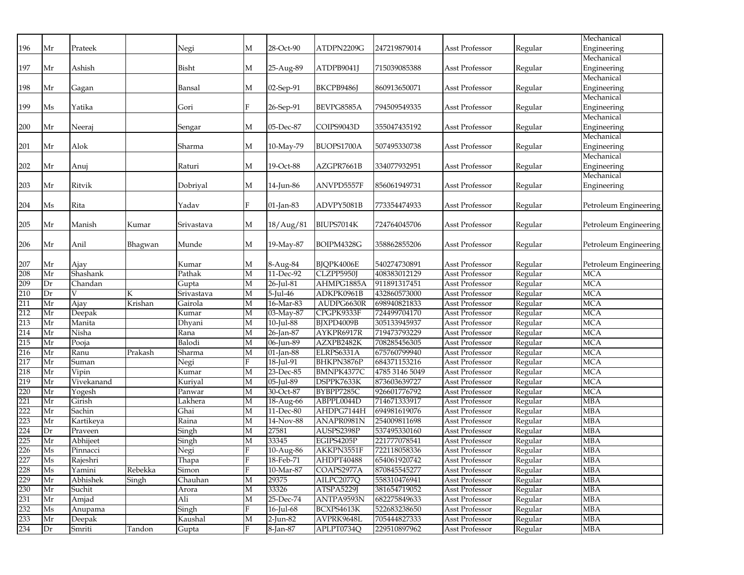|            |          |                              |         |                   |              |                        |                          |                                |                                         |                    | Mechanical               |
|------------|----------|------------------------------|---------|-------------------|--------------|------------------------|--------------------------|--------------------------------|-----------------------------------------|--------------------|--------------------------|
| 196        | Mr       | Prateek                      |         | Negi              | М            | 28-Oct-90              | ATDPN2209G               | 247219879014                   | Asst Professor                          | Regular            | Engineering              |
|            |          |                              |         |                   |              |                        |                          |                                |                                         |                    | Mechanical               |
| 197        | Mr       | Ashish                       |         | Bisht             | М            | 25-Aug-89              | ATDPB9041J               | 715039085388                   | Asst Professor                          | Regular            | Engineering              |
|            |          |                              |         |                   |              |                        |                          |                                |                                         |                    | Mechanical               |
| 198        | Mr       | Gagan                        |         | Bansal            | М            | 02-Sep-91              | BKCPB9486J               | 860913650071                   | Asst Professor                          | Regular            | Engineering              |
|            |          |                              |         |                   |              |                        |                          |                                |                                         |                    | Mechanical               |
| 199        | Ms       | Yatika                       |         | Gori              | $F_{\rm}$    | 26-Sep-91              | BEVPG8585A               | 794509549335                   | Asst Professor                          | Regular            | Engineering              |
|            |          |                              |         |                   |              |                        |                          |                                |                                         |                    | Mechanical               |
| 200        | Mr       | Neeraj                       |         | Sengar            | M            | 05-Dec-87              | COIPS9043D               | 355047435192                   | Asst Professor                          | Regular            | Engineering              |
|            |          |                              |         |                   |              |                        |                          |                                |                                         |                    | Mechanical               |
| 201        | Mr       | Alok                         |         | Sharma            | М            | 10-May-79              | BUOPS1700A               | 507495330738                   | Asst Professor                          | Regular            | Engineering              |
|            |          |                              |         |                   |              |                        |                          |                                |                                         |                    | Mechanical               |
| 202        | Mr       | Anuj                         |         | Raturi            | М            | 19-Oct-88              | AZGPR7661B               | 334077932951                   | Asst Professor                          | Regular            | Engineering              |
|            |          |                              |         |                   |              |                        |                          |                                |                                         |                    | Mechanical               |
| 203        | Mr       | Ritvik                       |         | Dobriyal          | М            | $14$ Jun- $86\,$       | ANVPD5557F               | 856061949731                   | Asst Professor                          | Regular            | Engineering              |
|            |          |                              |         |                   |              |                        |                          |                                |                                         |                    |                          |
| 204        | Ms       | Rita                         |         | Yadav             | $\mathbf{F}$ | 01-Jan-83              | ADVPY5081B               | 773354474933                   | Asst Professor                          | Regular            | Petroleum Engineering    |
|            |          |                              |         |                   |              |                        |                          |                                |                                         |                    |                          |
| 205        | Mr       | Manish                       | Kumar   | Srivastava        | M            | 18/Aug/81              | BIUPS7014K               | 724764045706                   | Asst Professor                          | Regular            | Petroleum Engineering    |
|            |          |                              |         |                   |              |                        |                          |                                |                                         |                    |                          |
| 206        | Mr       | Anil                         | Bhagwan | Munde             | М            | 19-May-87              | BOIPM4328G               | 358862855206                   | Asst Professor                          | Regular            | Petroleum Engineering    |
|            |          |                              |         |                   |              |                        |                          |                                |                                         |                    |                          |
| 207        | Mr       | Ajay                         |         | Kumar             | M            | 8-Aug-84               | BJQPK4006E               | 540274730891                   | Asst Professor                          | Regular            | Petroleum Engineering    |
| 208        | Mr       | Shashank                     |         | Pathak            | M            | 11-Dec-92              | CLZPP5950J               | 408383012129                   | <b>Asst Professor</b>                   | Regular            | <b>MCA</b>               |
| 209        | Dr       | Chandan                      |         | Gupta             | $\mathbf M$  | 26-Jul-81              | AHMPG1885A               | 911891317451                   | Asst Professor                          | Regular            | <b>MCA</b>               |
| 210        | Dr       |                              | K       | Srivastava        | $\mathbf M$  | 5-Jul-46               | ADKPK0961B               | 432860573000<br>698940821833   | <b>Asst Professor</b>                   | Regular            | <b>MCA</b>               |
| 211        | Mr       | Ajay                         | Krishan | Gairola           | М            | 16-Mar-83              | AUDPG6630R               |                                | Asst Professor                          | Regular            | <b>MCA</b>               |
| 212        | Mr       | Deepak                       |         | Kumar             | M            | 03-May-87              | CPGPK9333F               | 724499704170                   | Asst Professor                          | Regular            | <b>MCA</b>               |
| 213        | Mr       | Manita                       |         | Dhyani            | $\mathbf{M}$ | 10-Jul-88              | BJXPD4009B               | 305133945937                   | Asst Professor                          | Regular            | <b>MCA</b>               |
| 214        | Mr       | Nisha                        |         | Rana<br>Balodi    | $\mathbf{M}$ | 26-Jan-87              | AYKPR6917R               | 719473793229                   | Asst Professor                          | Regular            | <b>MCA</b><br><b>MCA</b> |
| 215<br>216 | Mr       | Pooja                        |         |                   | М            | 06-Jun-89              | AZXPB2482K               | 708285456305<br>675760799940   | <b>Asst Professor</b>                   | Regular            |                          |
|            | Mr       | Ranu                         | Prakash | Sharma            | M            | $01$ -Jan-88           | ELRPS6331A               | 684371153216                   | Asst Professor                          | Regular            | <b>MCA</b>               |
| 217        | Mr       | Suman                        |         | Negi              |              | 18-Jul-91<br>23-Dec-85 | BHKPN3876P               |                                | Asst Professor                          | Regular            | <b>MCA</b>               |
| 218<br>219 | Mr<br>Mr | Vipin<br>Vivekanand          |         | Kumar             | М            | 05-Jul-89              | BMNPK4377C               | 4785 3146 5049<br>873603639727 | Asst Professor                          | Regular            | <b>MCA</b><br><b>MCA</b> |
|            |          |                              |         | Kuriyal           | М            |                        | DSPPK7633K               |                                | Asst Professor                          | Regular            |                          |
| 220<br>221 | Mr<br>Mr | Yogesh<br>Girish             |         | Panwar<br>Lakhera | M<br>М       | 30-Oct-87<br>18-Aug-66 | BYBPP7285C<br>ABPPL0044D | 926601776792<br>714671333917   | Asst Professor<br><b>Asst Professor</b> | Regular<br>Regular | <b>MCA</b><br><b>MBA</b> |
| 222        | Mr       | Sachin                       |         | Ghai              | M            | 11-Dec-80              | AHDPG7144H               | 694981619076                   | <b>Asst Professor</b>                   | Regular            | <b>MBA</b>               |
| 223        | Mr       | Kartikeya                    |         | Raina             | M            | 14-Nov-88              | ANAPR0981N               | 254009811698                   | <b>Asst Professor</b>                   | Regular            | <b>MBA</b>               |
| 224        | Dr       | $\overline{\text{Pr}}$ aveen |         | Singh             | М            | 27581                  | AUSPS2398P               | 537495330160                   | Asst Professor                          | Regular            | <b>MBA</b>               |
| 225        | Mr       | Abhijeet                     |         |                   | M            | 33345                  | EGIPS4205P               | 221777078541                   | Asst Professor                          | Regular            | <b>MBA</b>               |
| 226        | Ms       | Pinnacci                     |         | Singh             | F            | 10-Aug-86              | AKKPN3551F               | 722118058336                   | Asst Professor                          |                    | <b>MBA</b>               |
| 227        |          |                              |         | Negi              | F            |                        | AHDPT40488               | 654061920742                   | <b>Asst Professor</b>                   | Regular            | <b>MBA</b>               |
| 228        | Ms<br>Ms | Rajeshri<br>Yamini           | Rebekka | Thapa<br>Simon    | F            | 18-Feb-71<br>10-Mar-87 | COAPS2977A               | 870845545277                   | <b>Asst Professor</b>                   | Regular<br>Regular | <b>MBA</b>               |
| 229        | Mr       | Abhishek                     |         | Chauhan           | M            | 29375                  | AILPC2077Q               | 558310476941                   | Asst Professor                          |                    | <b>MBA</b>               |
| 230        | Mr       | Suchit                       | Singh   | Arora             | М            | 33326                  | ATSPA5229J               | 381654719052                   | Asst Professor                          | Regular<br>Regular | <b>MBA</b>               |
| 231        | Mr       | Amjad                        |         | Ali               | М            | 25-Dec-74              | ANTPA9593N               | 682275849633                   | Asst Professor                          | Regular            | <b>MBA</b>               |
| 232        | Ms       | Anupama                      |         | Singh             | F            | 16-Jul-68              | BCXPS4613K               | 522683238650                   | Asst Professor                          | Regular            | <b>MBA</b>               |
| 233        | Mr       | Deepak                       |         | Kaushal           | M            | 2-Jun-82               | AVPRK9648L               | 705444827333                   | Asst Professor                          | Regular            | <b>MBA</b>               |
| 234        | Dr       | Smriti                       | Tandon  | Gupta             | F            | 8-Jan-87               | APLPT0734Q               | 229510897962                   | Asst Professor                          | Regular            | <b>MBA</b>               |
|            |          |                              |         |                   |              |                        |                          |                                |                                         |                    |                          |